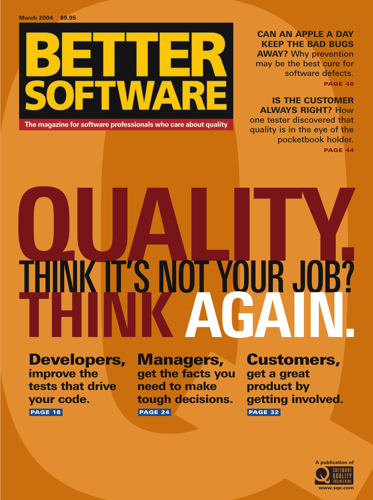

The magazine for software professionals who care about quality

CAN AN APPLE A DAY KEEP THE BAD BUGS AWAY? Why prevention may be the best cure for software defects. PAGE 48

## IS THE CUSTOMER ALWAYS RIGHT? How

one tester discovered that quality is in the eye of the pocketbook holder. PAGE 44

QUALITY. THINK IT'S NOT YOUR JOB?<br>THINK AGAIN.

Developers, improve the tests that drive your code. PAGE 18

Managers, get the facts you need to make tough decisions. PAGE 24

## Customers,

get a great product by getting involved. PAGE 32